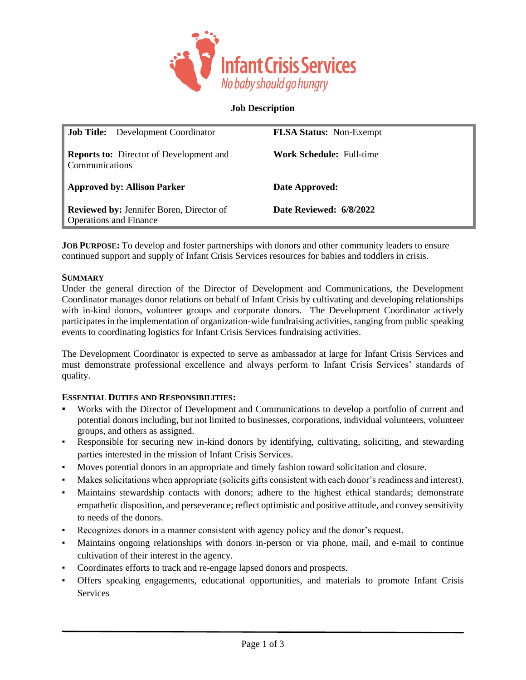

**Job Description**

| <b>Job Title:</b> Development Coordinator                        | <b>FLSA Status:</b> Non-Exempt  |
|------------------------------------------------------------------|---------------------------------|
| <b>Reports to:</b> Director of Development and<br>Communications | <b>Work Schedule: Full-time</b> |
| <b>Approved by: Allison Parker</b>                               | Date Approved:                  |
|                                                                  |                                 |

**JOB PURPOSE:** To develop and foster partnerships with donors and other community leaders to ensure continued support and supply of Infant Crisis Services resources for babies and toddlers in crisis.

#### **SUMMARY**

Under the general direction of the Director of Development and Communications, the Development Coordinator manages donor relations on behalf of Infant Crisis by cultivating and developing relationships with in-kind donors, volunteer groups and corporate donors. The Development Coordinator actively participates in the implementation of organization-wide fundraising activities, ranging from public speaking events to coordinating logistics for Infant Crisis Services fundraising activities.

The Development Coordinator is expected to serve as ambassador at large for Infant Crisis Services and must demonstrate professional excellence and always perform to Infant Crisis Services' standards of quality.

#### **ESSENTIAL DUTIES AND RESPONSIBILITIES:**

- Works with the Director of Development and Communications to develop a portfolio of current and potential donors including, but not limited to businesses, corporations, individual volunteers, volunteer groups, and others as assigned.
- Responsible for securing new in-kind donors by identifying, cultivating, soliciting, and stewarding parties interested in the mission of Infant Crisis Services.
- Moves potential donors in an appropriate and timely fashion toward solicitation and closure.
- Makes solicitations when appropriate (solicits gifts consistent with each donor's readiness and interest).
- Maintains stewardship contacts with donors; adhere to the highest ethical standards; demonstrate empathetic disposition, and perseverance; reflect optimistic and positive attitude, and convey sensitivity to needs of the donors.
- Recognizes donors in a manner consistent with agency policy and the donor's request.
- Maintains ongoing relationships with donors in-person or via phone, mail, and e-mail to continue cultivation of their interest in the agency.
- Coordinates efforts to track and re-engage lapsed donors and prospects.
- Offers speaking engagements, educational opportunities, and materials to promote Infant Crisis Services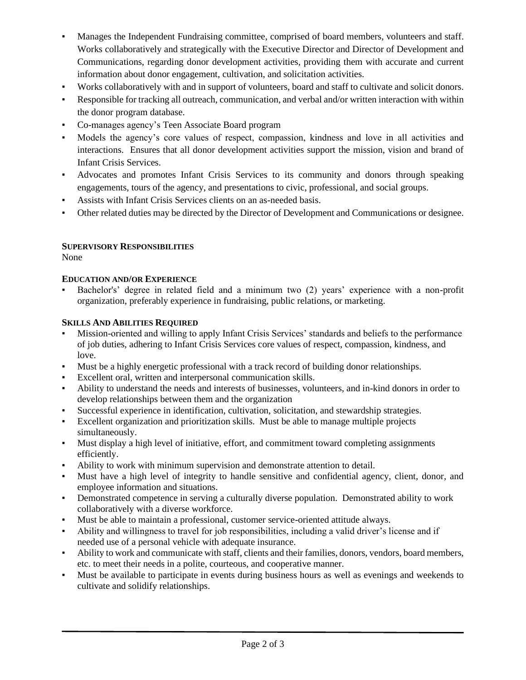- Manages the Independent Fundraising committee, comprised of board members, volunteers and staff. Works collaboratively and strategically with the Executive Director and Director of Development and Communications, regarding donor development activities, providing them with accurate and current information about donor engagement, cultivation, and solicitation activities.
- Works collaboratively with and in support of volunteers, board and staff to cultivate and solicit donors.
- Responsible for tracking all outreach, communication, and verbal and/or written interaction with within the donor program database.
- Co-manages agency's Teen Associate Board program
- Models the agency's core values of respect, compassion, kindness and love in all activities and interactions. Ensures that all donor development activities support the mission, vision and brand of Infant Crisis Services.
- Advocates and promotes Infant Crisis Services to its community and donors through speaking engagements, tours of the agency, and presentations to civic, professional, and social groups.
- Assists with Infant Crisis Services clients on an as-needed basis.
- Other related duties may be directed by the Director of Development and Communications or designee.

## **SUPERVISORY RESPONSIBILITIES**

None

# **EDUCATION AND/OR EXPERIENCE**

Bachelor's' degree in related field and a minimum two (2) years' experience with a non-profit organization, preferably experience in fundraising, public relations, or marketing.

## **SKILLS AND ABILITIES REQUIRED**

- Mission-oriented and willing to apply Infant Crisis Services' standards and beliefs to the performance of job duties, adhering to Infant Crisis Services core values of respect, compassion, kindness, and love.
- Must be a highly energetic professional with a track record of building donor relationships.
- Excellent oral, written and interpersonal communication skills.
- Ability to understand the needs and interests of businesses, volunteers, and in-kind donors in order to develop relationships between them and the organization
- Successful experience in identification, cultivation, solicitation, and stewardship strategies.
- Excellent organization and prioritization skills. Must be able to manage multiple projects simultaneously.
- Must display a high level of initiative, effort, and commitment toward completing assignments efficiently.
- Ability to work with minimum supervision and demonstrate attention to detail.
- Must have a high level of integrity to handle sensitive and confidential agency, client, donor, and employee information and situations.
- Demonstrated competence in serving a culturally diverse population. Demonstrated ability to work collaboratively with a diverse workforce.
- Must be able to maintain a professional, customer service-oriented attitude always.
- Ability and willingness to travel for job responsibilities, including a valid driver's license and if needed use of a personal vehicle with adequate insurance.
- Ability to work and communicate with staff, clients and their families, donors, vendors, board members, etc. to meet their needs in a polite, courteous, and cooperative manner.
- Must be available to participate in events during business hours as well as evenings and weekends to cultivate and solidify relationships.